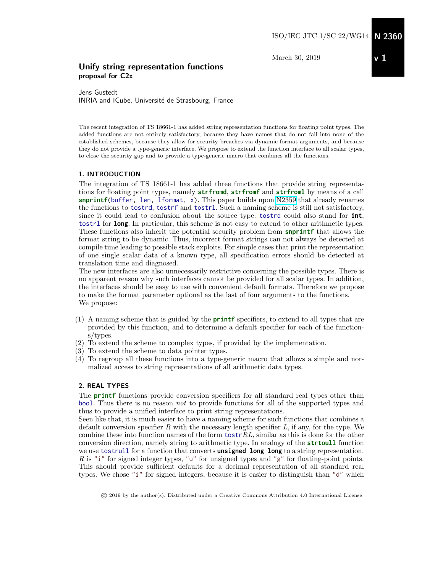March 30, 2019

# Unify string representation functions proposal for C2x

Jens Gustedt INRIA and ICube, Université de Strasbourg, France

The recent integration of TS 18661-1 has added string representation functions for floating point types. The added functions are not entirely satisfactory, because they have names that do not fall into none of the established schemes, because they allow for security breaches via dynamic format arguments, and because they do not provide a type-generic interface. We propose to extend the function interface to all scalar types, to close the security gap and to provide a type-generic macro that combines all the functions.

#### 1. INTRODUCTION

The integration of TS 18661-1 has added three functions that provide string representations for floating point types, namely **strfromd**, **strfromf** and **strfroml** by means of a call **snprintf**(buffer, len, lformat, x). This paper builds upon [N2359](http://www.open-std.org/jtc1/sc22/wg14/www/docs/n2359+appendix.pdf) that already renames the functions to tostrd, tostrf and tostrl. Such a naming scheme is still not satisfactory, since it could lead to confusion about the source type: tostrd could also stand for **int**, tostrl for **long**. In particular, this scheme is not easy to extend to other arithmetic types. These functions also inherit the potential security problem from **snprintf** that allows the format string to be dynamic. Thus, incorrect format strings can not always be detected at compile time leading to possible stack exploits. For simple cases that print the representation of one single scalar data of a known type, all specification errors should be detected at translation time and diagnosed.

The new interfaces are also unnecessarily restrictive concerning the possible types. There is no apparent reason why such interfaces cannot be provided for all scalar types. In addition, the interfaces should be easy to use with convenient default formats. Therefore we propose to make the format parameter optional as the last of four arguments to the functions. We propose:

- (1) A naming scheme that is guided by the **printf** specifiers, to extend to all types that are provided by this function, and to determine a default specifier for each of the functions/types.
- (2) To extend the scheme to complex types, if provided by the implementation.
- (3) To extend the scheme to data pointer types.
- (4) To regroup all these functions into a type-generic macro that allows a simple and normalized access to string representations of all arithmetic data types.

#### 2. REAL TYPES

The **printf** functions provide conversion specifiers for all standard real types other than bool. Thus there is no reason not to provide functions for all of the supported types and thus to provide a unified interface to print string representations.

Seen like that, it is much easier to have a naming scheme for such functions that combines a default conversion specifier R with the necessary length specifier L, if any, for the type. We combine these into function names of the form  $textRL$ , similar as this is done for the other conversion direction, namely string to arithmetic type. In analogy of the **strtoull** function we use tostrull for a function that converts **unsigned long long** to a string representation. R is "i" for signed integer types, "u" for unsigned types and "g" for floating-point points. This should provide sufficient defaults for a decimal representation of all standard real types. We chose "i" for signed integers, because it is easier to distinguish than "d" which

<sup>©</sup> 2019 by the author(s). Distributed under a Creative Commons Attribution 4.0 International License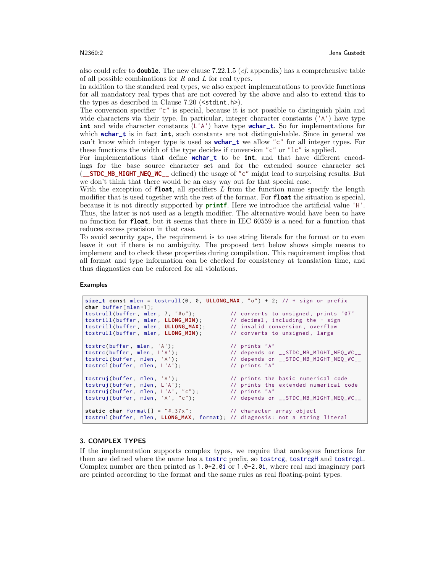also could refer to **double**. The new clause 7.22.1.5 (*cf.* appendix) has a comprehensive table of all possible combinations for  $R$  and  $L$  for real types.

In addition to the standard real types, we also expect implementations to provide functions for all mandatory real types that are not covered by the above and also to extend this to the types as described in Clause  $7.20$  ( $\text{stdint.h>}.$ 

The conversion specifier "c" is special, because it is not possible to distinguish plain and wide characters via their type. In particular, integer character constants ('A') have type **int** and wide character constants (L'A') have type **wchar\_t**. So for implementations for which **wchar\_t** is in fact **int**, such constants are not distinguishable. Since in general we can't know which integer type is used as **wchar\_t** we allow "c" for all integer types. For these functions the width of the type decides if conversion "c" or "lc" is applied.

For implementations that define **wchar\_t** to be **int**, and that have different encodings for the base source character set and for the extended source character set (**\_\_STDC\_MB\_MIGHT\_NEQ\_WC\_\_** defined) the usage of "c" might lead to surprising results. But we don't think that there would be an easy way out for that special case.

With the exception of **float**, all specifiers L from the function name specify the length modifier that is used together with the rest of the format. For **float** the situation is special, because it is not directly supported by **printf**. Here we introduce the artificial value 'H'. Thus, the latter is not used as a length modifier. The alternative would have been to have no function for **float**, but it seems that there in IEC 60559 is a need for a function that reduces excess precision in that case.

To avoid security gaps, the requirement is to use string literals for the format or to even leave it out if there is no ambiguity. The proposed text below shows simple means to implement and to check these properties during compilation. This requirement implies that all format and type information can be checked for consistency at translation time, and thus diagnostics can be enforced for all violations.

#### Examples

```
size_t const mlen = tostrull (0 , 0 , ULLONG_MAX , "o") + 2; // + sign or prefix
char buffer [ mlen +1];
                                                 tonverts to unsigned, prints "07"<br>// decimal, including the - sign<br>// invalid conversion, overflow
tostrill (buffer, mlen, LLONG_MIN);    // decimal, including the - sign
tostrill (buffer , mlen , ULLONG_MAX ) ; // invalid conversion , overflow
tostrull (buffer, mlen, LLONG_MIN); // converts to unsigned, large
tostrc (buffer, mlen, 'A');<br>tostrc (buffer, mlen, L'A'); // depends on
                                                  // depends on __STDC_MB_MIGHT_NEQ_WC__
                                                  // depends on __STDC_MB_MIGHT_NEQ_WC__<br>// prints "A"
tostrcl (buffer, mlen, 'A');<br>tostrcl (buffer, mlen, L'A');
tostruj(buffer, mlen, 'A');         // prints the basic numerical code<br>tostruj(buffer, mlen, L'A');         // prints the extended numerical code
tostruj(buffer, mlen, L'A');         // prints the extended numerical code
tostruj (buffer , mlen , L'A', "c") ; // prints "A"
                                                  // depends on __STDC_MB_MIGHT_NEQ_WC__
static char format[] = "#.37x"; // character array object
tostrul (buffer, mlen, LLONG_MAX, format); // diagnosis: not a string literal
```
#### 3. COMPLEX TYPES

If the implementation supports complex types, we require that analogous functions for them are defined where the name has a tostrc prefix, so tostrcg, tostrcgH and tostrcgL. Complex number are then printed as  $1.0+2.0i$  or  $1.0-2.0i$ , where real and imaginary part are printed according to the format and the same rules as real floating-point types.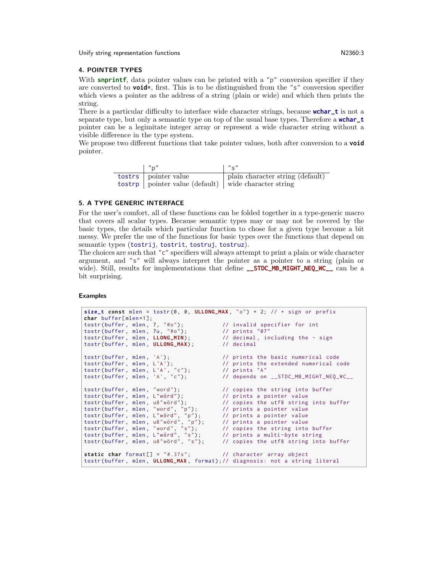Unify string representation functions N2360:3

#### 4. POINTER TYPES

With **snprintf**, data pointer values can be printed with a "p" conversion specifier if they are converted to **void**\*, first. This is to be distinguished from the "s" conversion specifier which views a pointer as the address of a string (plain or wide) and which then prints the string.

There is a particular difficulty to interface wide character strings, because **wchar\_t** is not a separate type, but only a semantic type on top of the usual base types. Therefore a **wchar\_t** pointer can be a legimitate integer array or represent a wide character string without a visible difference in the type system.

We propose two different functions that take pointer values, both after conversion to a **void** pointer.

| $^{\prime\prime}$ n"                                                      | $\frac{1}{2}$ $\frac{1}{2}$ $\frac{1}{2}$ |
|---------------------------------------------------------------------------|-------------------------------------------|
| tostrs   pointer value                                                    | plain character string (default)          |
| $\text{to \text{strp}}$   pointer value (default)   wide character string |                                           |

#### 5. A TYPE GENERIC INTERFACE

For the user's comfort, all of these functions can be folded together in a type-generic macro that covers all scalar types. Because semantic types may or may not be covered by the basic types, the details which particular function to chose for a given type become a bit messy. We prefer the use of the functions for basic types over the functions that depend on semantic types (tostrij, tostrit, tostruj, tostruz).

The choices are such that " $c$ " specifiers will always attempt to print a plain or wide character argument, and "s" will always interpret the pointer as a pointer to a string (plain or wide). Still, results for implementations that define **\_\_STDC\_MB\_MIGHT\_NEQ\_WC\_**<sub>\_</sub> can be a bit surprising.

#### Examples

```
size_t const mlen = tostr(\emptyset, \emptyset, ULLONG_MAX, "o") + 2; // + sign or prefix
char buffer [ mlen +1];
tostr(buffer, mlen, 7, "#o");       // invalid specifier for int
tostr (buffer , mlen , 7u, "#o") ; // prints "07"
tostr (buffer, mlen, 7, "#o");<br>tostr (buffer, mlen, 7u, "#o");<br>tostr (buffer, mlen, LLONG_MIN);<br>tostr (buffer, mlen, LLONG_MIN);<br>tostr (buffer, mlen, ULLONG_MAX);<br>\frac{1}{2} // decimal
tostr (buffer, mlen, ULLONG_MAX);
tostr (buffer, mlen, 'A'); // prints the basic numerical code
tostr(buffer, mlen, L'A'); // prints the extended numerical code
tostr (buffer, mlen, L'A');<br>tostr (buffer, mlen, L'A', "c");<br>tostr (buffer, mlen, 'A', "c");
tostr(buffer, mlen, 'A', "c");      // depends on __STDC_MB_MIGHT_NEQ_WC__
tostr(buffer, mlen, "word"); \frac{1}{2} // copies the string into buffer
tostr(buffer, mlen, L"wörd"); // prints a pointer value
tostr(buffer, mlen, u8"wörd"); // copies the utf8 string into buffer
tostr(buffer, mlen, "word", "p"); // prints a pointer value
tostr(buffer, mlen, L"wörd", "p"); // prints a pointer value
tostr (buffer, mlen, u8"wörd", "p"); // prints a pointer value
tostr(buffer, mlen, "word", "s"); // copies the string into buffer
tostr (buffer, mlen, L"wörd", "s"); // prints a multi-byte string
                                            to the inture of the string<br>the string into buffer , where the utf8 string into buffer
static char format[] = "#.37x"; // character array object
tostr (buffer , mlen , ULLONG_MAX , format ) ;// diagnosis : not a string literal
```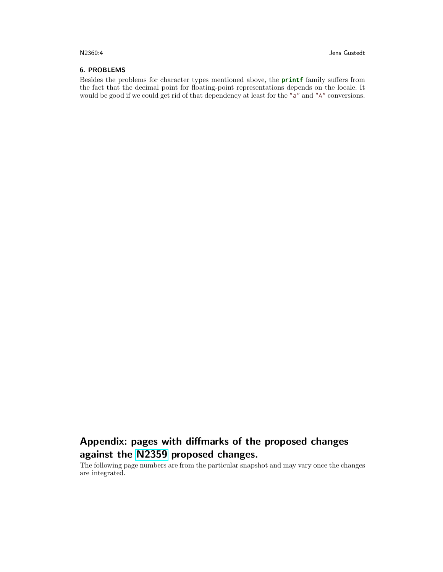#### 6. PROBLEMS

Besides the problems for character types mentioned above, the **printf** family suffers from the fact that the decimal point for floating-point representations depends on the locale. It would be good if we could get rid of that dependency at least for the "a" and "A" conversions.

# Appendix: pages with diffmarks of the proposed changes against the [N2359](http://www.open-std.org/jtc1/sc22/wg14/www/docs/n2359+appendix.pdf) proposed changes.

The following page numbers are from the particular snapshot and may vary once the changes are integrated.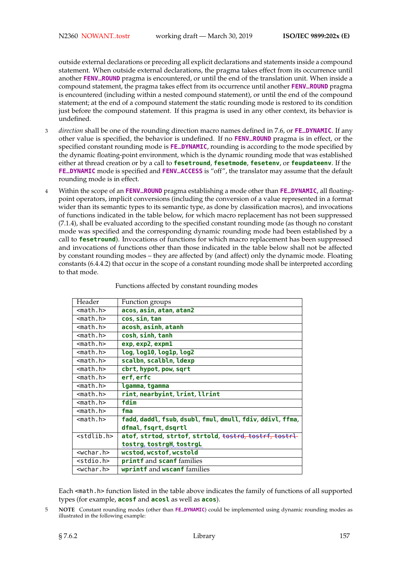outside external declarations or preceding all explicit declarations and statements inside a compound statement. When outside external declarations, the pragma takes effect from its occurrence until another **FENV\_ROUND** pragma is encountered, or until the end of the translation unit. When inside a compound statement, the pragma takes effect from its occurrence until another **FENV\_ROUND** pragma is encountered (including within a nested compound statement), or until the end of the compound statement; at the end of a compound statement the static rounding mode is restored to its condition just before the compound statement. If this pragma is used in any other context, its behavior is undefined.

- <sup>3</sup> *direction* shall be one of the rounding direction macro names defined in 7.6, or **FE\_DYNAMIC**. If any other value is specified, the behavior is undefined. If no **FENV\_ROUND** pragma is in effect, or the specified constant rounding mode is **FE\_DYNAMIC**, rounding is according to the mode specified by the dynamic floating-point environment, which is the dynamic rounding mode that was established either at thread creation or by a call to **fesetround**, **fesetmode**, **fesetenv**, or **feupdateenv**. If the **FE\_DYNAMIC** mode is specified and **FENV\_ACCESS** is "off", the translator may assume that the default rounding mode is in effect.
- <sup>4</sup> Within the scope of an **FENV\_ROUND** pragma establishing a mode other than **FE\_DYNAMIC**, all floatingpoint operators, implicit conversions (including the conversion of a value represented in a format wider than its semantic types to its semantic type, as done by classification macros), and invocations of functions indicated in the table below, for which macro replacement has not been suppressed (7.1.4), shall be evaluated according to the specified constant rounding mode (as though no constant mode was specified and the corresponding dynamic rounding mode had been established by a call to **fesetround**). Invocations of functions for which macro replacement has been suppressed and invocations of functions other than those indicated in the table below shall not be affected by constant rounding modes – they are affected by (and affect) only the dynamic mode. Floating constants (6.4.4.2) that occur in the scope of a constant rounding mode shall be interpreted according to that mode.

| Header                | Function groups                                           |
|-----------------------|-----------------------------------------------------------|
| <math.h></math.h>     | acos, asin, atan, atan2                                   |
| <math.h></math.h>     | cos, sin, tan                                             |
| $<$ math.h $>$        | acosh, asinh, atanh                                       |
| <math.h></math.h>     | cosh, sinh, tanh                                          |
| $<$ math.h $>$        | exp, exp2, expm1                                          |
| $<$ math.h>           | log, log10, log1p, log2                                   |
| <math.h></math.h>     | scalbn, scalbln, ldexp                                    |
| <math.h></math.h>     | cbrt, hypot, pow, sqrt                                    |
| $<$ math.h $>$        | erf, erfc                                                 |
| $<$ math.h>           | lgamma, tgamma                                            |
| $<$ math.h $>$        | rint, nearbyint, lrint, llrint                            |
| <math.h></math.h>     | fdim                                                      |
| $<$ math.h>           | fma                                                       |
| <math.h></math.h>     | fadd, daddl, fsub, dsubl, fmul, dmull, fdiv, ddivl, ffma, |
|                       | dfmal, fsqrt, dsqrtl                                      |
| <stdlib.h></stdlib.h> | atof, strtod, strtof, strtold, tostrd, tostrf, tostrl-    |
|                       | tostrg, tostrgH, tostrgL                                  |
| $wchar h>$            | wcstod, wcstof, wcstold                                   |
| <stdio.h></stdio.h>   | printf and scanf families                                 |
| <wchar.h></wchar.h>   | wprintf and wscanf families                               |

Functions affected by constant rounding modes

Each <math.h> function listed in the table above indicates the family of functions of all supported types (for example, **acosf** and **acosl** as well as **acos**).

5 **NOTE** Constant rounding modes (other than **FE\_DYNAMIC**) could be implemented using dynamic rounding modes as illustrated in the following example: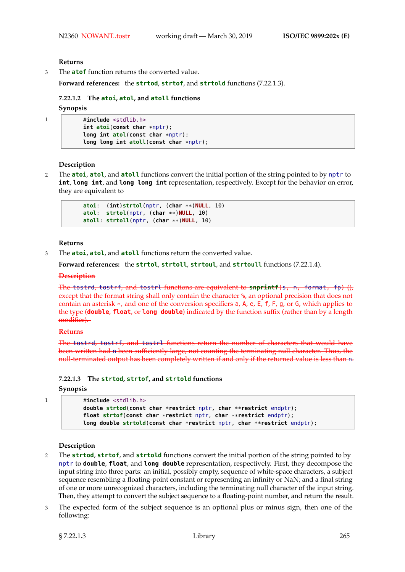#### **Returns**

3 The **atof** function returns the converted value.

**Forward references:** the **strtod**, **strtof**, and **strtold** functions (7.22.1.3).

# **7.22.1.2 The atoi, atol, and atoll functions Synopsis**

```
1 #include <stdlib.h>
          int atoi(const char *nptr);
          long int atol(const char *nptr);
          long long int atoll(const char *nptr);
```
#### **Description**

2 The **atoi**, **atol**, and **atoll** functions convert the initial portion of the string pointed to by nptr to **int**, **long int**, and **long long int** representation, respectively. Except for the behavior on error, they are equivalent to

```
atoi: (int)strtol(nptr, (char **)NULL, 10)
atol: strtol(nptr, (char **)NULL, 10)
atoll: strtoll(nptr, (char **)NULL, 10)
```
#### **Returns**

3 The **atoi**, **atol**, and **atoll** functions return the converted value.

**Forward references:** the **strtol**, **strtoll**, **strtoul**, and **strtoull** functions (7.22.1.4).

#### **Description**

The tostrd, tostrf, and tostrl functions are equivalent to **snprintf**(s, n, format, fp) (), except that the format string shall only contain the character %, an optional precision that does not contain an asterisk \*, and one of the conversion specifiers a, A, e, E, f, F, g, or G, which applies to the type (**double**, **float**, or **long double**) indicated by the function suffix (rather than by a length modifier).

#### **Returns**

The tostrd, tostrf, and tostrl functions return the number of characters that would have been written had n been sufficiently large, not counting the terminating null character. Thus, the null-terminated output has been completely written if and only if the returned value is less than n.

#### **7.22.1.3 The strtod, strtof, and strtold functions**

#### **Synopsis**

```
1 #include <stdlib.h>
           double strtod(const char *restrict nptr, char **restrict endptr);
           float strtof(const char *restrict nptr, char **restrict endptr);
           long double strtold(const char *restrict nptr, char **restrict endptr);
```
#### **Description**

- 2 The **strtod**, **strtof**, and **strtold** functions convert the initial portion of the string pointed to by nptr to **double**, **float**, and **long double** representation, respectively. First, they decompose the input string into three parts: an initial, possibly empty, sequence of white-space characters, a subject sequence resembling a floating-point constant or representing an infinity or NaN; and a final string of one or more unrecognized characters, including the terminating null character of the input string. Then, they attempt to convert the subject sequence to a floating-point number, and return the result.
- 3 The expected form of the subject sequence is an optional plus or minus sign, then one of the following: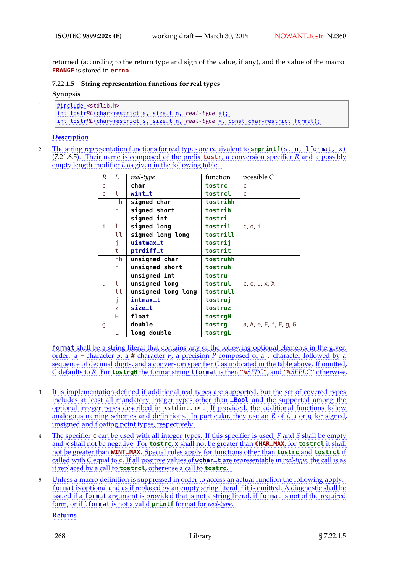returned (according to the return type and sign of the value, if any), and the value of the macro **ERANGE** is stored in **errno**.

**7.22.1.5 String representation functions for real types**

**Synopsis**

```
1
      ✿
      #✿✿✿✿✿✿✿
include ✿
<stdlib.h>
      int_tostrRL(char*restrict_s,_size_t_n,_real-type_x);
      int tostrRL (char*restrict s, size_t n, real-type x, const char*restrict format);
```
# **Description**

2 Ebe string representation functions for real types are equivalent to snprintf(s, n, lformat, x) (7.21.6.5). Their name is composed of the prefix **tostr**, a conversion specifier R and a possibly empty length modifier *L* as given in the following table:

| R            | L  | real-type          | function | possible C             |  |
|--------------|----|--------------------|----------|------------------------|--|
| C            |    | char               | tostrc   | C                      |  |
| $\mathsf{C}$ | l  | $with$ t $t$       | tostrcl  | C                      |  |
|              | hh | signed char        | tostrihh |                        |  |
|              | h  | signed short       | tostrih  |                        |  |
|              |    | signed int         | tostri   |                        |  |
| i            | ι  | signed long        | tostril  | c, d, i                |  |
|              | u  | signed long long   | tostrill |                        |  |
|              | j  | uintmax_t          | tostrij  |                        |  |
|              | t  | ptrdiff_t          | tostrit  |                        |  |
|              | hh | unsigned char      | tostruhh |                        |  |
| u            | h. | unsigned short     | tostruh  |                        |  |
|              |    | unsigned int       | tostru   |                        |  |
|              | l  | unsigned long      | tostrul  | c, o, u, x, X          |  |
|              | u  | unsigned long long | tostrull |                        |  |
|              | j  | intmax_t           | tostrui  |                        |  |
|              | Z  | size_t             | tostruz  |                        |  |
| g            | н  | float              | tostrgH  |                        |  |
|              |    | double             | tostrg   | a, A, e, E, f, F, g, G |  |
|              |    | long double        | tostrgL  |                        |  |

format shall be a string literal that contains any of the following optional elements in the given order: a + character *S*<sub>c</sub> a # character *F*<sub>c</sub> a precision *P* composed of a . character followed by a sequence of decimal digits, and a conversion specifier C as indicated in the table above. If omitted, C defaults to R. For **tostraH** the format string 1 format is then "SEPC", and "SEPLC" otherwise.

- 3 It is implementation-defined if additional real types are supported, but the set of covered types ✿✿✿✿✿✿✿ includes at least all mandatory integer types other than **\_Bool** and the supported among the optional integer types described in <stdint.h> . If provided, the additional functions follow analogous naming schemes and definitions. In particular, they use an R of *i*, u or g for signed, unsigned and floating point types, respectively.
- 4 The specifier c can be used with all integer types. If this specifier is used, F and S shall be empty and x shall not be negative. For tostrc, x shall not be greater than CHAR\_MAX, for tostrcl it shall not be greater than WINT\_MAX. Special rules apply for functions other than tostrc and tostrcl if called with C equal to c. If all positive values of **wchar\_t** are representable in *real-type*, the call is as if replaced by a call to **tostrcl**, otherwise a call to **tostrc**.
- 5 Unless a macro definition is suppressed in order to access an actual function the following apply: ✿✿✿✿✿✿✿ format is optional and as if replaced by an empty string literal if it is omitted. A diagnostic shall be issued if a format argument is provided that is not a string literal, if format is not of the required form, or if I format is not a valid **printf** format for real-type.

✿✿✿✿✿✿✿ **Returns**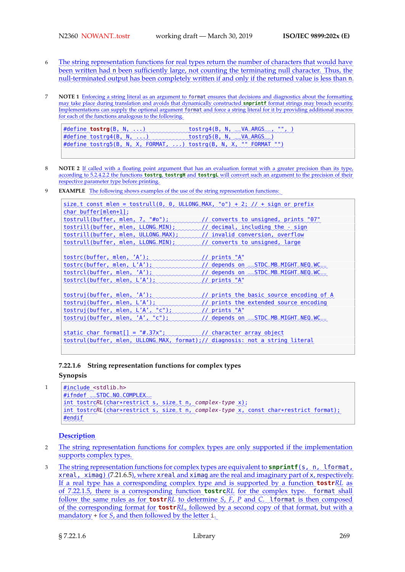- 6 Lhe string representation functions for real types return the number of characters that would have ✿✿✿✿ been written had n been sufficiently large, not counting the terminating null character. Thus, the null-terminated output has been completely written if and only if the returned value is less than n.
- **NOTE 1** Enforcing a string literal as an argument to format ensures that decisions and diagnostics about the formatting may take place during translation and avoids that dynamically constructed **snprintf** format strings may breach security. ✿✿✿✿✿✿✿✿✿✿✿✿ Implementations can supply the optional argument format and force a string literal for it by providing additional macros for each of the functions analogous to the following.

```
<u>#define</u> tostrg(B, N, .....)
                     ind members to strg4 (B, N, - VA ARGS -
                                                                 ennend
#define_tostrg4(B, N, ii) married tostrg5(B, N, J VA ARGS )
#define_tostrg4(B, N, ....)
                                       tostrg5 (B, N, J VA ARGS )
#define tostrg5(B, N, X, FORMAT, ....) tostrg(B, N, X, "" FORMAT "")
```
- **NOTE** 2 If called with a floating point argument that has an evaluation format with a greater precision than its type, according to 5.2.4.2.2 the functions **tostrg, tostrgH** and **tostrgL** will convert such an argument to the precision of their respective parameter type before printing.
- **EXAMPLE** The following shows examples of the use of the string representation functions:

```
✿✿✿✿✿✿
size_t✿✿✿✿✿✿
const ✿✿✿✿✿
mlen ✿
=✿✿✿✿✿✿✿✿✿
tostrull✿✿✿
(0,✿✿✿
0,✿✿✿✿✿✿✿✿✿✿✿
ULLONG_MAX ✿
, ✿✿
" ✿
o ✿✿
") ✿✿
+ ✿✿
2;✿✿✿
//✿✿
+✿✿✿✿✿
sign✿✿✿
or✿✿✿✿✿✿✿
prefix
char buffer[mlen+1];
tostrull(buffer, mlen, 7, "#o");
                               innumberts to unsigned, prints "07"
tostrill (buffer, mlen, LLONG_MIN);
                                 innmulldecimal, including the sign
tostrill (buffer, mlen, ULLONG_MAX);
                                  invalid conversion, overflow
tostrull (buffer, mlen, LLONG_MIN);
                                 immunicanverts to unsigned, large
tostrc(buffer, mlen, 'A');
                         iwww.www.//
                                          // prints "A"
tostrcl (buffer, mlen, 'A');
tostrc(buffer, mlen, L'A');
                                          // depends on STDC_MB_MIGHT_NEQ_WC_
✿✿✿✿✿✿✿
                          incommunity depends on <del>__</del>STDC_MB_MIGHT_NEQ_WC_
tostrcl(buffer, mlen, L'A');
                           inmummallerints "A"
tostruj(buffer, mlen, 'A');
                          in manument of a prints the basic source encoding of A
tostruj(buffer, mlen, L'A');
                           in manual // prints the extended source encoding
tostruj (buffer, mlen, L'A', "c");
                                          // prints "A"
tostruj(buffer, mlen, 'A', "c");
                               immaallelends on STDC_MB_MIGHT_NEQ_WC_
static_char_format[]_=_"#.37x";
                             ";✿✿✿✿✿✿✿✿✿✿✿✿✿
                                          // character array object
tostrul(buffer, mlen, ULLONG_MAX, format);// diagnosis: not a string literal
```
**7.22.1.6 String representation functions for complex types**

# **Synopsis**

1

```
✿
#✿✿✿✿✿✿
ifndef ✿✿✿✿✿✿✿✿✿✿✿✿✿✿✿✿✿✿✿
__STDC_NO_COMPLEX__
#✿✿✿✿✿✿✿
include ✿
<stdlib.h>
✿
int_tostrcRL(char*restrict_s,_size_t_n,_complex-type_x);
int tostrcRL (char*restrict s, size_t n, complex-type x, const char*restrict format);
<u>#endif</u>
```
# **Description**

- 2 The string representation functions for complex types are only supported if the implementation supports complex types.
- 3 The string representation functions for complex types are equivalent to snprintf(s, n, lformat, xreal, ximag) (7.21.6.5), where xreal and ximag are the real and imaginary part of x, respectively. If a real type has a corresponding complex type and is supported by a function **tostr** RL as of 7.22.1.5, there is a corresponding function **tostrc**RL for the complex type. format shall follow the same rules as for **tostr** RL to determine S, F, P and C. If or mat is then composed of the corresponding format for **tostr** RL, followed by a second copy of that format, but with a mandatory + for *S*, and then followed by the letter i.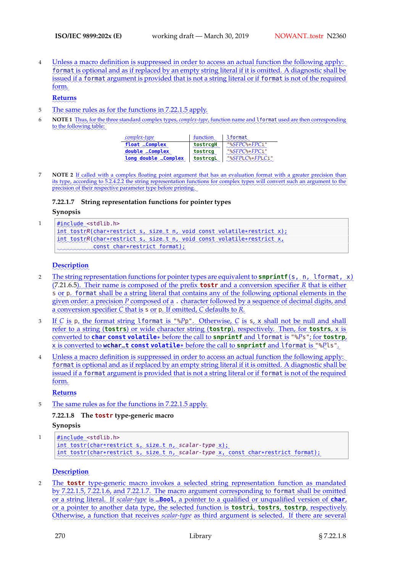4 Linless a macro definition is suppressed in order to access an actual function the following apply: ✿✿✿✿✿✿✿ format is optional and as if replaced by an empty string literal if it is omitted. A diagnostic shall be issued if a format argument is provided that is not a string literal or if format is not of the required form.

#### ✿✿✿✿✿✿✿ **Returns**

- 5 The same rules as for the functions in 7.22.1.5 apply.
- 6 **NOTE1** Thus, for the three standard complex types, *complex-type*, function name and 1 format used are then corresponding to the following table:

| complex-type                             | function<br>$\sim\sim\sim\sim\sim$ | lformat<br>$\sim\sim\sim\sim\sim$ |
|------------------------------------------|------------------------------------|-----------------------------------|
| float _Complex                           | tostrcgH                           | "%SFPC%+FPCi"<br>mannanna         |
| double _Complex<br>$0.00000000000000000$ | tostrcg                            | "%SFPC%+FPCi"<br>$\cdots$         |
| long double _Complex                     | tostrcgL                           | "%SFPLC%+FPLCi"<br>mmmmmm         |

**NOTE 2** If called with a complex floating point argument that has an evaluation format with a greater precision than its type, according to 5.2.4.2.2 the string representation functions for complex types will convert such an argument to the precision of their respective parameter type before printing.

# **7.22.1.7 String representation functions for pointer types**

#### **Synopsis**

1

```
✿
#✿✿✿✿✿✿✿
include ✿
<stdlib.h>
int_tostrR(char*restrict_s,_size_t_n,_void_const_volatile*restrict_x);
int tostrR(char*restrict s, size_t n, void const volatile*restrict x,
✿✿✿✿✿✿✿✿✿✿✿✿✿✿✿✿
const ✿✿✿✿
char✿*✿✿✿✿✿✿✿✿
restrict✿✿✿✿✿✿✿
format✿
)✿
;
```
# **Description**

- 2 Ebe string representation functions for pointer types are equivalent to snprintf(s, n, lformat, x) **s** or p. format shall be a string literal that contains any of the following optional elements in the (7.21.6.5). Their name is composed of the prefix **tostr** and a conversion specifier R that is either ✿✿✿✿✿ given order: a precision P composed of a . character followed by a sequence of decimal digits, and a conversion specifier C that is s or p. If omitted, C defaults to R.
- 3 If C is p, the format string I format is "%Pp". Otherwise, C is s, x shall not be null and shall refer to a string (**tostrs**) or wide character string (**tostrp**), respectively. Then, for **tostrs**,  $\times$  is <u>converted to **char const volatile**\* before the call to **snprintf** and lformat is "%Ps"; for **tostrp**,</u> **x** is converted to wchar\_t const volatile\* before the call to snprintf and lformat is "% Pls".
- 4 Linless a macro definition is suppressed in order to access an actual function the following apply: format is optional and as if replaced by an empty string literal if it is omitted. A diagnostic shall be issued if a format argument is provided that is not a string literal or if format is not of the required form.

# ✿✿✿✿✿✿✿ **Returns**

5 The same rules as for the functions in 7.22.1.5 apply.

# **7.22.1.8 The tostr type-generic macro**

# **Synopsis**

```
1
      ✿
      #✿✿✿✿✿✿✿
include ✿
<stdlib.h>
      int_tostr(char*restrict_s,_size_t_n,_scalar-type_x);
      int_tostr(char*restrict_s,_size_t_n,_scalar-type_x,_const_char*restrict_format);
```
# **Description**

2 The **tostr** type-generic macro invokes a selected string representation function as mandated by 7.22.1.5, 7.22.1.6, and 7.22.1.7. The macro argument corresponding to format shall be omitted or a string literal. If scalar-type is **\_Bool**, a pointer to a qualified or unqualified version of **char**, ✿✿ or✿✿ a ✿✿✿✿✿✿✿ pointer ✿✿ to✿✿✿✿✿✿✿✿ another ✿✿✿✿ data✿✿✿✿✿✿ type, ✿✿✿ the✿✿✿✿✿✿✿✿ selected✿✿✿✿✿✿✿✿ function✿✿ is✿✿✿✿✿✿✿✿ **tostri**,✿✿✿✿✿✿✿✿ **tostrs**, ✿✿✿✿✿✿✿ **tostrp**,✿✿✿✿✿✿✿✿✿✿✿✿ respectively. Otherwise, a function that receives scalar-type as third argument is selected. If there are several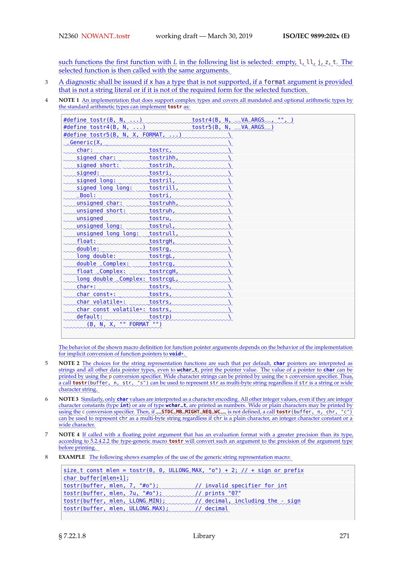such functions the first function with  $L$  in the following list is selected: empty,  $l_{\alpha}l_{\alpha}l_{\alpha}$ ,  $t_{\alpha}$ ,  $T_{\alpha}$ selected function is then called with the same arguments.

- 3 A diagnostic shall be issued if x has a type that is not supported, if a format argument is provided that is not a string literal or if it is not of the required form for the selected function.
- **4 NOTE 1** An implementation that does support complex types and covers all mandated and optional arithmetic types by the standard arithmetic types can implement **tostr** as:

| #define tostr(B, N, $\ldots$ )           |           | tostr $4(B, N,$ |
|------------------------------------------|-----------|-----------------|
| #define tostr4(B, N, $\ldots$ )          |           | tostr5(B, N,    |
| #define tostr5(B, N, X, FORMAT, $\ldots$ |           |                 |
| Generic(X,                               |           |                 |
| char:                                    | tostrc,   |                 |
| signed char:                             | tostrihh  |                 |
| signed short:                            | tostrih,  |                 |
| signed:                                  | tostri,   |                 |
| signed long:                             | tostril,  |                 |
| signed long long:                        | tostrill  |                 |
| Bool:                                    | tostri,   |                 |
| unsigned char:                           | tostruhh, |                 |
| unsigned short:                          | tostruh,  |                 |
| unsigned                                 | tostru,   |                 |
| unsigned long:                           | tostrul,  |                 |
| unsigned long long:                      | tostrull, |                 |
| float:                                   | tostrgH,  |                 |
| double:                                  | tostrg,   |                 |
| long double:                             | tostrgL   |                 |
| double _Complex:                         | tostrcg,  |                 |
| float _Complex:                          | tostrcgH, |                 |
| long double _Complex: tostrcgL,          |           |                 |
| char*:                                   | tostrs,   |                 |
| char const*:                             | tostrs,   |                 |
| char volatile*:                          | tostrs,   |                 |
| char const volatile*: tostrs,            |           |                 |
| default:                                 | tostrp)   |                 |
| (B, N, X, "" FORMAT "")                  |           |                 |
|                                          |           |                 |

✿✿✿ The behavior of the shown macro definition for function pointer arguments depends on the behavior of the implementation for implicit conversion of function pointers to **void**\*.

- 5 **NOTE 2** The choices for the string representation functions are such that per default, **char** pointers are interpreted as strings and all other data pointer types, even to wchar\_t, print the pointer value. The value of a pointer to char can be printed by using the p conversion specifier. Wide character strings can be printed by using the s conversion specifier. Thus, a call **tostr**(buffer, n, str, "s") can be used to represent str as multi-byte string regardless if str is a string or wide character string.
- 6 NOTE 3 Similarly, only char values are interpreted as a character encoding. All other integer values, even if they are integer character constants (type int) or are of type wchar\_t, are printed as numbers. Wide or plain characters may be printed by using the c conversion specifier. Then, if \_\_STDC\_MB\_MIGHT\_NEQ\_WC\_\_\_ is not defined, a call **tostr** (buffer, n, chr, "c") can be used to represent chr as a multi-byte string regardless if chr is a plain character, an integer character constant or a wide character.
- **NOTE 4** If called with a floating point argument that has an evaluation format with a greater precision than its type, according to 5.2.4.2.2 the type-generic macro **tostr** will convert such an argument to the precision of the argument type before printing.
- **EXAMPLE** The following shows examples of the use of the generic string representation macro:

| $size_t$ const mlen = tostr(0, 0, ULLONG MAX, "0") + 2; // + sign or prefix |  |
|-----------------------------------------------------------------------------|--|
| char buffer[mlen+1];                                                        |  |
| tostr(buffer, mlen, 7, "#0"); coopponently invalid specifier for int        |  |
| $\text{tostr}(buffer, mlen, 7u, \text{***})$                                |  |
| tostr(buffer, mlen, LLONG_MIN); // decimal, including the - sign            |  |
| tostr(buffer, mlen, ULLONG MAX); (// decimal                                |  |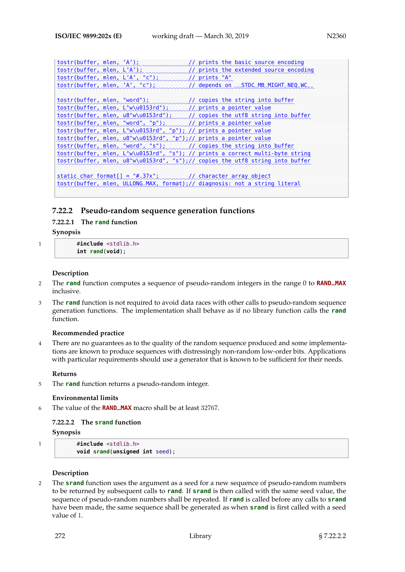```
tostr(buffer, mlen, 'A');
                           in manual prints the basic source encoding
tostr(buffer, mlen, L'A');
                             inmunnabl
                                              // prints the extended source encoding
tostr(buffer, mlen, L'A', "c");
                                              //_prints "A"
tostr(buffer, mlen, 'A', "c");
                                              // ✿✿✿✿✿✿✿✿
depends ✿✿✿
on ✿✿✿✿✿✿✿✿✿✿✿✿✿✿✿✿✿✿✿✿✿✿✿✿
__STDC_MB_MIGHT_NEQ_WC__
tostr(buffer, mlen, "word");
                               immund
                                              // copies the string into buffer
✿✿✿✿✿
tostr(buffer, mlen, L"w\u0153rd"); /// prints a pointer value
✿✿✿✿✿
tostr✿
(✿✿✿✿✿✿
buffer ✿
, ✿✿✿✿
mlen✿
,✿✿✿
u8✿
"✿
w✿
\✿✿✿✿✿✿✿
u0153rd✿✿
")✿
;✿✿✿✿✿✿✿
// ✿✿✿✿✿✿✿
copies ✿✿✿✿
the ✿✿✿✿
utf8✿✿✿✿✿✿✿
string✿✿✿✿✿
into✿✿✿✿✿✿✿
buffer
tostr(buffer, mlen, "word", "p");
                                     immal/ prints a pointer value
tostr(buffer, mlen, L"w\u0153rd", "p"); // prints a pointer value
tostr(buffer, mlen, u8"w\u0153rd", "p");// prints a pointer value
✿✿✿✿✿
tostr✿
(✿✿✿✿✿✿
buffer ✿
, ✿✿✿✿
mlen✿
,✿✿
"✿✿✿✿
word✿✿
",✿✿
"✿
s✿✿
")✿
;✿✿✿✿✿✿✿✿✿
// ✿✿✿✿✿✿✿
copies ✿✿✿✿
the ✿✿✿✿✿✿
string✿✿✿✿✿
into✿✿✿✿✿✿✿
buffer
tostr(buffer, mlen, L"w\u0153rd", "s"); // prints a correct multi-byte string
tostr(buffer, mlen, u8"w\u0153rd", "s");// copies the utf8 string into buffer
\text{static char format}[] = \text{***}.37x".// character array object
tostr(buffer, mlen, ULLONG_MAX, format);// diagnosis: not a string literal
```
# **7.22.2 Pseudo-random sequence generation functions**

# **7.22.2.1 The rand function**

**Synopsis**

1 #**include** <stdlib.h> **int rand**(**void**);

# **Description**

- <sup>2</sup> The **rand** function computes a sequence of pseudo-random integers in the range 0 to **RAND\_MAX** inclusive.
- 3 The **rand** function is not required to avoid data races with other calls to pseudo-random sequence generation functions. The implementation shall behave as if no library function calls the **rand** function.

# **Recommended practice**

4 There are no guarantees as to the quality of the random sequence produced and some implementations are known to produce sequences with distressingly non-random low-order bits. Applications with particular requirements should use a generator that is known to be sufficient for their needs.

# **Returns**

5 The **rand** function returns a pseudo-random integer.

# **Environmental limits**

<sup>6</sup> The value of the **RAND\_MAX** macro shall be at least 32767.

# **7.22.2.2 The srand function**

# **Synopsis**

1 #**include** <stdlib.h> **void srand**(**unsigned int** seed);

# **Description**

2 The **srand** function uses the argument as a seed for a new sequence of pseudo-random numbers to be returned by subsequent calls to **rand**. If **srand** is then called with the same seed value, the sequence of pseudo-random numbers shall be repeated. If **rand** is called before any calls to **srand** have been made, the same sequence shall be generated as when **srand** is first called with a seed value of 1.